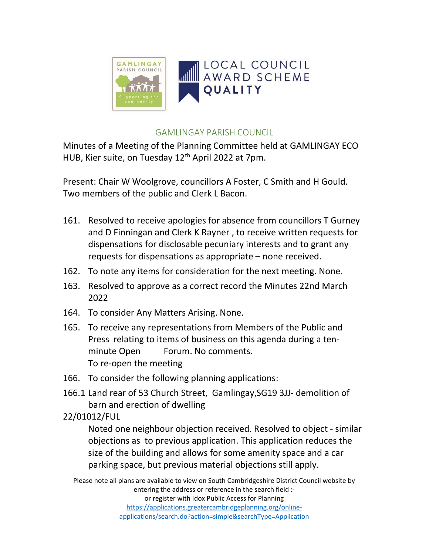

## GAMLINGAY PARISH COUNCIL

Minutes of a Meeting of the Planning Committee held at GAMLINGAY ECO HUB, Kier suite, on Tuesday 12<sup>th</sup> April 2022 at 7pm.

Present: Chair W Woolgrove, councillors A Foster, C Smith and H Gould. Two members of the public and Clerk L Bacon.

- 161. Resolved to receive apologies for absence from councillors T Gurney and D Finningan and Clerk K Rayner , to receive written requests for dispensations for disclosable pecuniary interests and to grant any requests for dispensations as appropriate – none received.
- 162. To note any items for consideration for the next meeting. None.
- 163. Resolved to approve as a correct record the Minutes 22nd March 2022
- 164. To consider Any Matters Arising. None.
- 165. To receive any representations from Members of the Public and Press relating to items of business on this agenda during a tenminute Open Forum. No comments. To re-open the meeting
- 166. To consider the following planning applications:
- 166.1 Land rear of 53 Church Street, Gamlingay,SG19 3JJ- demolition of barn and erection of dwelling

22/01012/FUL

Noted one neighbour objection received. Resolved to object - similar objections as to previous application. This application reduces the size of the building and allows for some amenity space and a car parking space, but previous material objections still apply.

Please note all plans are available to view on South Cambridgeshire District Council website by entering the address or reference in the search field :or register with Idox Public Access for Planning https://applications.greatercambridgeplanning.org/onlineapplications/search.do?action=simple&searchType=Application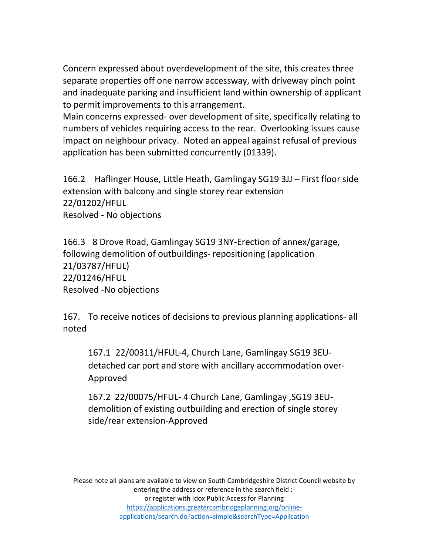Concern expressed about overdevelopment of the site, this creates three separate properties off one narrow accessway, with driveway pinch point and inadequate parking and insufficient land within ownership of applicant to permit improvements to this arrangement.

Main concerns expressed- over development of site, specifically relating to numbers of vehicles requiring access to the rear. Overlooking issues cause impact on neighbour privacy. Noted an appeal against refusal of previous application has been submitted concurrently (01339).

166.2 Haflinger House, Little Heath, Gamlingay SG19 3JJ – First floor side extension with balcony and single storey rear extension 22/01202/HFUL Resolved - No objections

166.3 8 Drove Road, Gamlingay SG19 3NY-Erection of annex/garage, following demolition of outbuildings- repositioning (application 21/03787/HFUL) 22/01246/HFUL Resolved -No objections

167. To receive notices of decisions to previous planning applications- all noted

167.1 22/00311/HFUL-4, Church Lane, Gamlingay SG19 3EUdetached car port and store with ancillary accommodation over-Approved

 167.2 22/00075/HFUL- 4 Church Lane, Gamlingay ,SG19 3EU demolition of existing outbuilding and erection of single storey side/rear extension-Approved

Please note all plans are available to view on South Cambridgeshire District Council website by entering the address or reference in the search field :or register with Idox Public Access for Planning https://applications.greatercambridgeplanning.org/onlineapplications/search.do?action=simple&searchType=Application